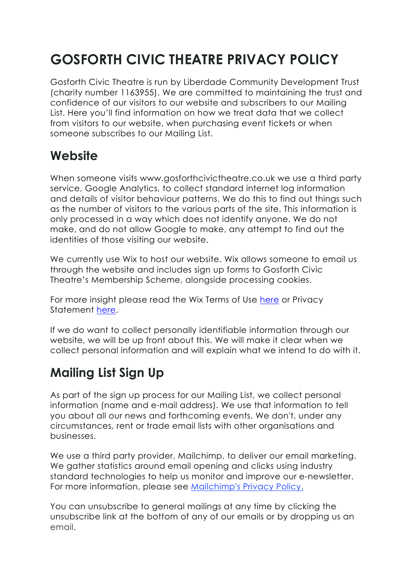# **GOSFORTH CIVIC THEATRE PRIVACY POLICY**

Gosforth Civic Theatre is run by Liberdade Community Development Trust (charity number 1163955). We are committed to maintaining the trust and confidence of our visitors to our website and subscribers to our Mailing List. Here you'll find information on how we treat data that we collect from visitors to our website, when purchasing event tickets or when someone subscribes to our Mailing List.

## **Website**

When someone visits www.gosforthcivictheatre.co.uk we use a third party service, Google Analytics, to collect standard internet log information and details of visitor behaviour patterns. We do this to find out things such as the number of visitors to the various parts of the site. This information is only processed in a way which does not identify anyone. We do not make, and do not allow Google to make, any attempt to find out the identities of those visiting our website.

We currently use Wix to host our website. Wix allows someone to email us through the website and includes sign up forms to Gosforth Civic Theatre's Membership Scheme, alongside processing cookies.

For more insight please read the Wix Terms of Use here or Privacy Statement here.

If we do want to collect personally identifiable information through our website, we will be up front about this. We will make it clear when we collect personal information and will explain what we intend to do with it.

## **Mailing List Sign Up**

As part of the sign up process for our Mailing List, we collect personal information (name and e-mail address). We use that information to tell you about all our news and forthcoming events. We don't, under any circumstances, rent or trade email lists with other organisations and businesses.

We use a third party provider, Mailchimp, to deliver our email marketing. We gather statistics around email opening and clicks using industry standard technologies to help us monitor and improve our e-newsletter. For more information, please see Mailchimp's Privacy Policy.

You can unsubscribe to general mailings at any time by clicking the unsubscribe link at the bottom of any of our emails or by dropping us an email.